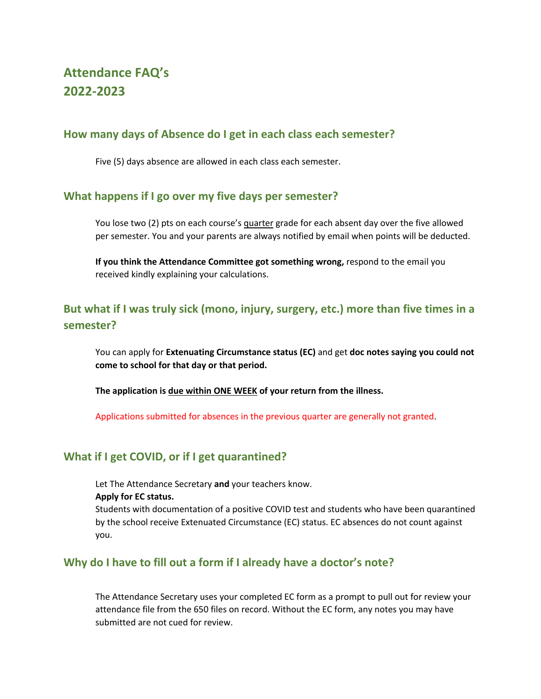# **Attendance FAQ's 2022-2023**

## **How many days of Absence do I get in each class each semester?**

Five (5) days absence are allowed in each class each semester.

### **What happens if I go over my five days per semester?**

You lose two (2) pts on each course's quarter grade for each absent day over the five allowed per semester. You and your parents are always notified by email when points will be deducted.

**If you think the Attendance Committee got something wrong,** respond to the email you received kindly explaining your calculations.

## **But what if I was truly sick (mono, injury, surgery, etc.) more than five times in a semester?**

You can apply for **Extenuating Circumstance status (EC)** and get **doc notes saying you could not come to school for that day or that period.**

**The application is due within ONE WEEK of your return from the illness.**

Applications submitted for absences in the previous quarter are generally not granted.

## **What if I get COVID, or if I get quarantined?**

Let The Attendance Secretary **and** your teachers know.

#### **Apply for EC status.**

Students with documentation of a positive COVID test and students who have been quarantined by the school receive Extenuated Circumstance (EC) status. EC absences do not count against you.

### **Why do I have to fill out a form if I already have a doctor's note?**

The Attendance Secretary uses your completed EC form as a prompt to pull out for review your attendance file from the 650 files on record. Without the EC form, any notes you may have submitted are not cued for review.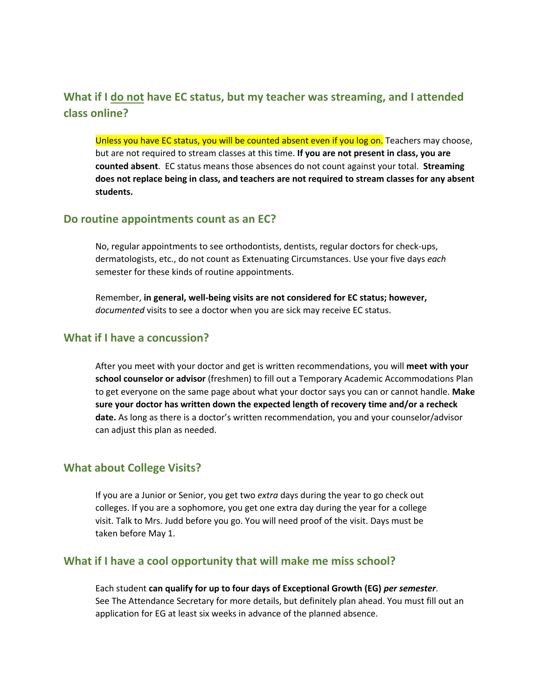## **What if I do not have EC status, but my teacher was streaming, and I attended class online?**

Unless you have EC status, you will be counted absent even if you log on. Teachers may choose, but are not required to stream classes at this time. **If you are not present in class, you are counted absent**. EC status means those absences do not count against your total. **Streaming does not replace being in class, and teachers are not required to stream classes for any absent students.**

#### **Do routine appointments count as an EC?**

No, regular appointments to see orthodontists, dentists, regular doctors for check-ups, dermatologists, etc., do not count as Extenuating Circumstances. Use your five days *each* semester for these kinds of routine appointments.

Remember, **in general, well-being visits are not considered for EC status; however,**  *documented* visits to see a doctor when you are sick may receive EC status.

### **What if I have a concussion?**

After you meet with your doctor and get is written recommendations, you will **meet with your school counselor or advisor** (freshmen) to fill out a Temporary Academic Accommodations Plan to get everyone on the same page about what your doctor says you can or cannot handle. **Make sure your doctor has written down the expected length of recovery time and/or a recheck date.** As long as there is a doctor's written recommendation, you and your counselor/advisor can adjust this plan as needed.

#### **What about College Visits?**

If you are a Junior or Senior, you get two *extra* days during the year to go check out colleges. If you are a sophomore, you get one extra day during the year for a college visit. Talk to Mrs. Judd before you go. You will need proof of the visit. Days must be taken before May 1.

#### **What if I have a cool opportunity that will make me miss school?**

Each student **can qualify for up to four days of Exceptional Growth (EG)** *per semester*. See The Attendance Secretary for more details, but definitely plan ahead. You must fill out an application for EG at least six weeks in advance of the planned absence.